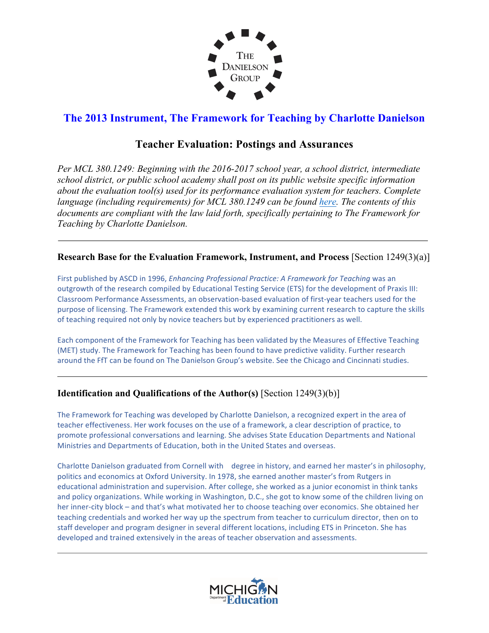

# **The 2013 Instrument, The Framework for Teaching by Charlotte Danielson**

## **Teacher Evaluation: Postings and Assurances**

*Per MCL 380.1249: Beginning with the 2016-2017 school year, a school district, intermediate school district, or public school academy shall post on its public website specific information about the evaluation tool(s) used for its performance evaluation system for teachers. Complete language (including requirements) for MCL 380.1249 can be found here. The contents of this documents are compliant with the law laid forth, specifically pertaining to The Framework for Teaching by Charlotte Danielson.* 

#### **Research Base for the Evaluation Framework, Instrument, and Process** [Section 1249(3)(a)]

First published by ASCD in 1996, *Enhancing Professional Practice: A Framework for Teaching* was an outgrowth of the research compiled by Educational Testing Service (ETS) for the development of Praxis III: Classroom Performance Assessments, an observation-based evaluation of first-year teachers used for the purpose of licensing. The Framework extended this work by examining current research to capture the skills of teaching required not only by novice teachers but by experienced practitioners as well.

Each component of the Framework for Teaching has been validated by the Measures of Effective Teaching (MET) study. The Framework for Teaching has been found to have predictive validity. Further research around the FfT can be found on The Danielson Group's website. See the Chicago and Cincinnati studies.

### **Identification and Qualifications of the Author(s)** [Section 1249(3)(b)]

The Framework for Teaching was developed by Charlotte Danielson, a recognized expert in the area of teacher effectiveness. Her work focuses on the use of a framework, a clear description of practice, to promote professional conversations and learning. She advises State Education Departments and National Ministries and Departments of Education, both in the United States and overseas.

Charlotte Danielson graduated from Cornell with degree in history, and earned her master's in philosophy, politics and economics at Oxford University. In 1978, she earned another master's from Rutgers in educational administration and supervision. After college, she worked as a junior economist in think tanks and policy organizations. While working in Washington, D.C., she got to know some of the children living on her inner-city block – and that's what motivated her to choose teaching over economics. She obtained her teaching credentials and worked her way up the spectrum from teacher to curriculum director, then on to staff developer and program designer in several different locations, including ETS in Princeton. She has developed and trained extensively in the areas of teacher observation and assessments.